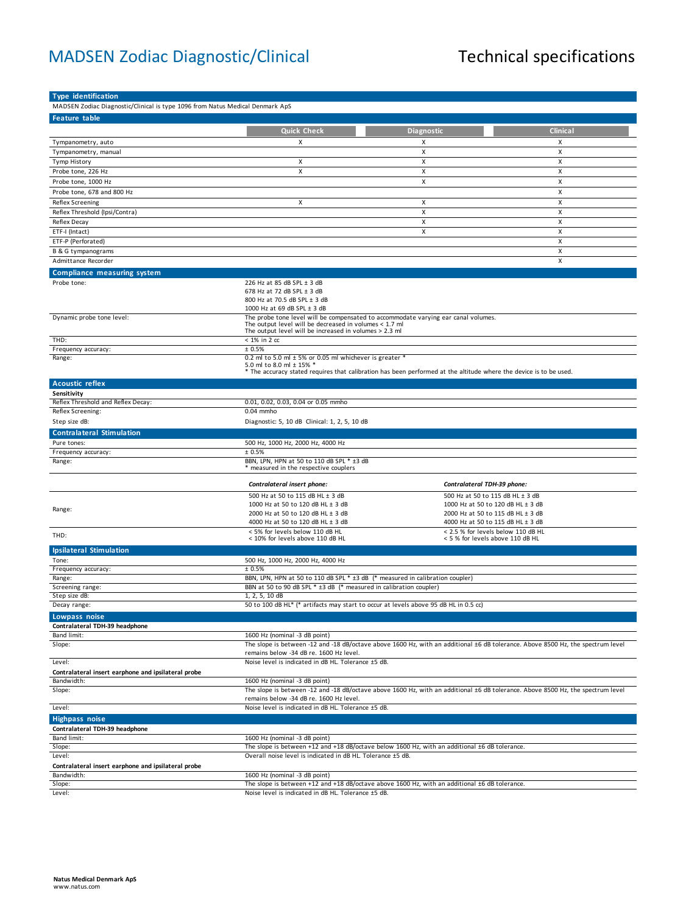## MADSEN Zodiac Diagnostic/Clinical Technical specifications

| <b>Type identification</b>                                                    |                                                                                                                                                     |                                                                                                                    |                                                                                                                                 |
|-------------------------------------------------------------------------------|-----------------------------------------------------------------------------------------------------------------------------------------------------|--------------------------------------------------------------------------------------------------------------------|---------------------------------------------------------------------------------------------------------------------------------|
| MADSEN Zodiac Diagnostic/Clinical is type 1096 from Natus Medical Denmark ApS |                                                                                                                                                     |                                                                                                                    |                                                                                                                                 |
| Feature table                                                                 |                                                                                                                                                     |                                                                                                                    |                                                                                                                                 |
|                                                                               | <b>Quick Check</b>                                                                                                                                  | <b>Diagnostic</b>                                                                                                  | <b>Clinical</b>                                                                                                                 |
|                                                                               | X                                                                                                                                                   |                                                                                                                    |                                                                                                                                 |
| Tympanometry, auto                                                            |                                                                                                                                                     | х<br>X                                                                                                             | х<br>X                                                                                                                          |
| Tympanometry, manual                                                          | X                                                                                                                                                   | X                                                                                                                  | X                                                                                                                               |
| Tymp History                                                                  | X                                                                                                                                                   | X                                                                                                                  | X                                                                                                                               |
| Probe tone, 226 Hz                                                            |                                                                                                                                                     |                                                                                                                    |                                                                                                                                 |
| Probe tone, 1000 Hz                                                           |                                                                                                                                                     | X                                                                                                                  | Х                                                                                                                               |
| Probe tone, 678 and 800 Hz                                                    |                                                                                                                                                     |                                                                                                                    | X                                                                                                                               |
| <b>Reflex Screening</b>                                                       | Х                                                                                                                                                   | X                                                                                                                  | Х                                                                                                                               |
| Reflex Threshold (Ipsi/Contra)                                                |                                                                                                                                                     | X                                                                                                                  | Х                                                                                                                               |
| Reflex Decay                                                                  |                                                                                                                                                     | x                                                                                                                  | X                                                                                                                               |
| ETF-I (Intact)                                                                |                                                                                                                                                     | X                                                                                                                  | х                                                                                                                               |
| ETF-P (Perforated)                                                            |                                                                                                                                                     |                                                                                                                    | X                                                                                                                               |
| B & G tympanograms                                                            |                                                                                                                                                     |                                                                                                                    | X                                                                                                                               |
| Admittance Recorder                                                           |                                                                                                                                                     |                                                                                                                    | X                                                                                                                               |
| <b>Compliance measuring system</b>                                            |                                                                                                                                                     |                                                                                                                    |                                                                                                                                 |
| Probe tone:                                                                   | 226 Hz at 85 dB SPL ± 3 dB                                                                                                                          |                                                                                                                    |                                                                                                                                 |
|                                                                               | 678 Hz at 72 dB SPL ± 3 dB                                                                                                                          |                                                                                                                    |                                                                                                                                 |
|                                                                               | 800 Hz at 70.5 dB SPL ± 3 dB                                                                                                                        |                                                                                                                    |                                                                                                                                 |
|                                                                               | 1000 Hz at 69 dB SPL ± 3 dB                                                                                                                         |                                                                                                                    |                                                                                                                                 |
| Dynamic probe tone level:                                                     | The output level will be decreased in volumes $<$ 1.7 ml                                                                                            | The probe tone level will be compensated to accommodate varying ear canal volumes.                                 |                                                                                                                                 |
|                                                                               | The output level will be increased in volumes > 2.3 ml                                                                                              |                                                                                                                    |                                                                                                                                 |
| THD:                                                                          | < 1% in 2 cc                                                                                                                                        |                                                                                                                    |                                                                                                                                 |
| Frequency accuracy:                                                           | ± 0.5%                                                                                                                                              |                                                                                                                    |                                                                                                                                 |
| Range:                                                                        | 0.2 ml to 5.0 ml $\pm$ 5% or 0.05 ml whichever is greater *                                                                                         |                                                                                                                    |                                                                                                                                 |
|                                                                               | 5.0 ml to 8.0 ml ± 15% *                                                                                                                            | * The accuracy stated requires that calibration has been performed at the altitude where the device is to be used. |                                                                                                                                 |
|                                                                               |                                                                                                                                                     |                                                                                                                    |                                                                                                                                 |
| <b>Acoustic reflex</b><br>Sensitivity                                         |                                                                                                                                                     |                                                                                                                    |                                                                                                                                 |
| Reflex Threshold and Reflex Decay:                                            | 0.01, 0.02, 0.03, 0.04 or 0.05 mmho                                                                                                                 |                                                                                                                    |                                                                                                                                 |
| Reflex Screening:                                                             | 0.04 mmho                                                                                                                                           |                                                                                                                    |                                                                                                                                 |
| Step size dB:                                                                 | Diagnostic: 5, 10 dB Clinical: 1, 2, 5, 10 dB                                                                                                       |                                                                                                                    |                                                                                                                                 |
|                                                                               |                                                                                                                                                     |                                                                                                                    |                                                                                                                                 |
| <b>Contralateral Stimulation</b>                                              |                                                                                                                                                     |                                                                                                                    |                                                                                                                                 |
| Pure tones:                                                                   | 500 Hz, 1000 Hz, 2000 Hz, 4000 Hz                                                                                                                   |                                                                                                                    |                                                                                                                                 |
| Frequency accuracy:                                                           | ± 0.5%<br>BBN, LPN, HPN at 50 to 110 dB SPL * ±3 dB                                                                                                 |                                                                                                                    |                                                                                                                                 |
| Range:                                                                        | * measured in the respective couplers                                                                                                               |                                                                                                                    |                                                                                                                                 |
|                                                                               |                                                                                                                                                     |                                                                                                                    |                                                                                                                                 |
|                                                                               | Contralateral insert phone:                                                                                                                         | Contralateral TDH-39 phone:                                                                                        |                                                                                                                                 |
|                                                                               | 500 Hz at 50 to 115 dB HL ± 3 dB                                                                                                                    |                                                                                                                    | 500 Hz at 50 to 115 dB HL ± 3 dB                                                                                                |
| Range:                                                                        | 1000 Hz at 50 to 120 dB HL ± 3 dB                                                                                                                   |                                                                                                                    | 1000 Hz at 50 to 120 dB HL ± 3 dB                                                                                               |
|                                                                               | 2000 Hz at 50 to 120 dB HL ± 3 dB                                                                                                                   |                                                                                                                    | 2000 Hz at 50 to 115 dB HL ± 3 dB                                                                                               |
|                                                                               | 4000 Hz at 50 to 120 dB HL ± 3 dB                                                                                                                   |                                                                                                                    | 4000 Hz at 50 to 115 dB HL ± 3 dB                                                                                               |
| THD:                                                                          | < 5% for levels below 110 dB HL<br>< 10% for levels above 110 dB HL                                                                                 |                                                                                                                    | < 2.5 % for levels below 110 dB HL<br>< 5 % for levels above 110 dB HL                                                          |
|                                                                               |                                                                                                                                                     |                                                                                                                    |                                                                                                                                 |
| <b>Ipsilateral Stimulation</b>                                                |                                                                                                                                                     |                                                                                                                    |                                                                                                                                 |
| Tone:                                                                         | 500 Hz, 1000 Hz, 2000 Hz, 4000 Hz                                                                                                                   |                                                                                                                    |                                                                                                                                 |
| Frequency accuracy:                                                           | ± 0.5%                                                                                                                                              |                                                                                                                    |                                                                                                                                 |
| Range:<br>Screening range:                                                    | BBN, LPN, HPN at 50 to 110 dB SPL * ±3 dB (* measured in calibration coupler)<br>BBN at 50 to 90 dB SPL * ±3 dB (* measured in calibration coupler) |                                                                                                                    |                                                                                                                                 |
| Step size dB:                                                                 | 1, 2, 5, 10 dB                                                                                                                                      |                                                                                                                    |                                                                                                                                 |
| Decay range:                                                                  |                                                                                                                                                     | 50 to 100 dB HL* (* artifacts may start to occur at levels above 95 dB HL in 0.5 cc)                               |                                                                                                                                 |
| Lowpass noise                                                                 |                                                                                                                                                     |                                                                                                                    |                                                                                                                                 |
| Contralateral TDH-39 headphone                                                |                                                                                                                                                     |                                                                                                                    |                                                                                                                                 |
| Band limit:                                                                   | 1600 Hz (nominal -3 dB point)                                                                                                                       |                                                                                                                    |                                                                                                                                 |
| Slope:                                                                        | The slope is between -12 and -18 dB/octave above 1600 Hz, with an additional ±6 dB tolerance. Above 8500 Hz, the spectrum level                     |                                                                                                                    |                                                                                                                                 |
|                                                                               | remains below -34 dB re. 1600 Hz level.                                                                                                             |                                                                                                                    |                                                                                                                                 |
| Level:                                                                        | Noise level is indicated in dB HL. Tolerance ±5 dB.                                                                                                 |                                                                                                                    |                                                                                                                                 |
| Contralateral insert earphone and ipsilateral probe                           |                                                                                                                                                     |                                                                                                                    |                                                                                                                                 |
| Bandwidth:                                                                    | 1600 Hz (nominal -3 dB point)                                                                                                                       |                                                                                                                    |                                                                                                                                 |
| Slope:                                                                        |                                                                                                                                                     |                                                                                                                    | The slope is between -12 and -18 dB/octave above 1600 Hz, with an additional ±6 dB tolerance. Above 8500 Hz, the spectrum level |
|                                                                               | remains below -34 dB re. 1600 Hz level.                                                                                                             |                                                                                                                    |                                                                                                                                 |
| Level:                                                                        | Noise level is indicated in dB HL. Tolerance ±5 dB.                                                                                                 |                                                                                                                    |                                                                                                                                 |
| <b>Highpass noise</b>                                                         |                                                                                                                                                     |                                                                                                                    |                                                                                                                                 |
| Contralateral TDH-39 headphone                                                |                                                                                                                                                     |                                                                                                                    |                                                                                                                                 |
| Band limit:                                                                   | 1600 Hz (nominal -3 dB point)                                                                                                                       |                                                                                                                    |                                                                                                                                 |
| Slope:                                                                        |                                                                                                                                                     | The slope is between +12 and +18 dB/octave below 1600 Hz, with an additional $\pm 6$ dB tolerance.                 |                                                                                                                                 |
| Level:                                                                        | Overall noise level is indicated in dB HL. Tolerance ±5 dB.                                                                                         |                                                                                                                    |                                                                                                                                 |
| Contralateral insert earphone and ipsilateral probe                           |                                                                                                                                                     |                                                                                                                    |                                                                                                                                 |
| Bandwidth:                                                                    | 1600 Hz (nominal -3 dB point)                                                                                                                       |                                                                                                                    |                                                                                                                                 |
| Slope:                                                                        |                                                                                                                                                     | The slope is between +12 and +18 dB/octave above 1600 Hz, with an additional $\pm 6$ dB tolerance.                 |                                                                                                                                 |
| Level:                                                                        | Noise level is indicated in dB HL. Tolerance ±5 dB.                                                                                                 |                                                                                                                    |                                                                                                                                 |